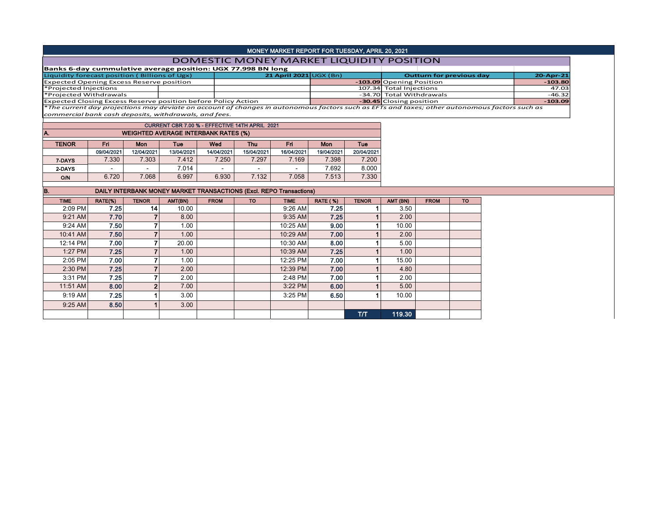## MONEY MARKET REPORT FOR TUESDAY, APRIL 20, 2021

## DOMESTIC MONEY MARKET LIQUIDITY POSITION

| Banks 6-day cummulative average position: UGX 77.998 BN long                                                                                  |  |                              |  |                                 |              |           |  |  |  |  |
|-----------------------------------------------------------------------------------------------------------------------------------------------|--|------------------------------|--|---------------------------------|--------------|-----------|--|--|--|--|
| Liquidity forecast position (Billions of Ugx)                                                                                                 |  | 21 April 2021 $\cup$ GX (Bn) |  | <b>Outturn for previous day</b> | $20$ -Apr-21 |           |  |  |  |  |
| <b>Expected Opening Excess Reserve position</b>                                                                                               |  |                              |  | -103.09 Opening Position        |              | $-103.80$ |  |  |  |  |
| *Projected Injections                                                                                                                         |  |                              |  | 107.34 Total Injections         |              | 47.03     |  |  |  |  |
| *Projected Withdrawals                                                                                                                        |  |                              |  | -34.70 Total Withdrawals        |              | $-46.32$  |  |  |  |  |
| <b>Expected Closing Excess Reserve position before Policy Action</b>                                                                          |  |                              |  | -30.45 Closing position         |              | $-103.09$ |  |  |  |  |
| *The current day projections may deviate on account of changes in autonomous factors such as EFTs and taxes; other autonomous factors such as |  |                              |  |                                 |              |           |  |  |  |  |

*commercial bank cash deposits, withdrawals, and fees.*

|              | CURRENT CBR 7.00 % - EFFECTIVE 14TH APRIL 2021 |            |            |            |            |                          |            |            |  |  |  |  |  |  |  |
|--------------|------------------------------------------------|------------|------------|------------|------------|--------------------------|------------|------------|--|--|--|--|--|--|--|
| А.           | <b>WEIGHTED AVERAGE INTERBANK RATES (%)</b>    |            |            |            |            |                          |            |            |  |  |  |  |  |  |  |
| <b>TENOR</b> | Fri                                            | Mon        | Tue        | Wed        | <b>Thu</b> | Fri                      | Mon        | Tue        |  |  |  |  |  |  |  |
|              | 09/04/2021                                     | 12/04/2021 | 13/04/2021 | 14/04/2021 | 15/04/2021 | 16/04/2021               | 19/04/2021 | 20/04/2021 |  |  |  |  |  |  |  |
| 7-DAYS       | 7.330                                          | 7.303      | 7.412      | 7.250      | 7.297      | 7.169                    | 7.398      | 7.200      |  |  |  |  |  |  |  |
| 2-DAYS       | $\overline{\phantom{0}}$                       |            | 7.014      |            | -          | $\overline{\phantom{0}}$ | 7.692      | 8.000      |  |  |  |  |  |  |  |
| O/N          | 6.720                                          | 7.068      | 6.997      | 6.930      | 7.132      | 7.058                    | 7.513      | 7.330      |  |  |  |  |  |  |  |

## B. DAILY INTERBANK MONEY MARKET TRANSACTIONS (Excl. REPO Transactions)

| <b>TENOR</b><br><b>RATE (%)</b><br><b>TIME</b><br>RATE(%)<br>AMT(BN)<br><b>FROM</b><br><b>TO</b><br><b>TIME</b><br><b>TENOR</b><br>AMT (BN)<br><b>TO</b><br><b>FROM</b><br>7.25<br>7.25<br>2:09 PM<br>14 <sub>1</sub><br>$9:26$ AM<br>10.00<br>3.50<br>7.70<br>7.25<br>9:21 AM<br>8.00<br>9:35 AM<br>2.00<br>7.50<br>9.00<br>9:24 AM<br>10:25 AM<br>10.00<br>1.00<br>7.50<br>7.00<br>2.00<br>1.00<br>10:29 AM<br>10:41 AM<br>7.00<br>8.00<br>12:14 PM<br>10:30 AM<br>5.00<br>20.00<br>7.25<br>7.25<br>1:27 PM<br>1.00<br>10:39 AM<br>1.00<br>7.00<br>7.00<br>12:25 PM<br>2:05 PM<br>15.00<br>1.00<br>7.25<br>7.00<br>2:30 PM<br>2.00<br>12:39 PM<br>4.80<br>7.25<br>7.00<br>3:31 PM<br>2.00<br>2.00<br>2:48 PM<br>8.00<br>$\overline{2}$<br>6.00<br>3:22 PM<br>7.00<br>5.00<br>11:51 AM<br>7.25<br>3:25 PM<br>6.50<br>9:19 AM<br>3.00<br>10.00<br>8.50<br>3.00<br>9:25 AM<br>T/T<br>119.30 |  |  |  |  |  |  |  |  |  |  |
|--------------------------------------------------------------------------------------------------------------------------------------------------------------------------------------------------------------------------------------------------------------------------------------------------------------------------------------------------------------------------------------------------------------------------------------------------------------------------------------------------------------------------------------------------------------------------------------------------------------------------------------------------------------------------------------------------------------------------------------------------------------------------------------------------------------------------------------------------------------------------------------------|--|--|--|--|--|--|--|--|--|--|
|                                                                                                                                                                                                                                                                                                                                                                                                                                                                                                                                                                                                                                                                                                                                                                                                                                                                                            |  |  |  |  |  |  |  |  |  |  |
|                                                                                                                                                                                                                                                                                                                                                                                                                                                                                                                                                                                                                                                                                                                                                                                                                                                                                            |  |  |  |  |  |  |  |  |  |  |
|                                                                                                                                                                                                                                                                                                                                                                                                                                                                                                                                                                                                                                                                                                                                                                                                                                                                                            |  |  |  |  |  |  |  |  |  |  |
|                                                                                                                                                                                                                                                                                                                                                                                                                                                                                                                                                                                                                                                                                                                                                                                                                                                                                            |  |  |  |  |  |  |  |  |  |  |
|                                                                                                                                                                                                                                                                                                                                                                                                                                                                                                                                                                                                                                                                                                                                                                                                                                                                                            |  |  |  |  |  |  |  |  |  |  |
|                                                                                                                                                                                                                                                                                                                                                                                                                                                                                                                                                                                                                                                                                                                                                                                                                                                                                            |  |  |  |  |  |  |  |  |  |  |
|                                                                                                                                                                                                                                                                                                                                                                                                                                                                                                                                                                                                                                                                                                                                                                                                                                                                                            |  |  |  |  |  |  |  |  |  |  |
|                                                                                                                                                                                                                                                                                                                                                                                                                                                                                                                                                                                                                                                                                                                                                                                                                                                                                            |  |  |  |  |  |  |  |  |  |  |
|                                                                                                                                                                                                                                                                                                                                                                                                                                                                                                                                                                                                                                                                                                                                                                                                                                                                                            |  |  |  |  |  |  |  |  |  |  |
|                                                                                                                                                                                                                                                                                                                                                                                                                                                                                                                                                                                                                                                                                                                                                                                                                                                                                            |  |  |  |  |  |  |  |  |  |  |
|                                                                                                                                                                                                                                                                                                                                                                                                                                                                                                                                                                                                                                                                                                                                                                                                                                                                                            |  |  |  |  |  |  |  |  |  |  |
|                                                                                                                                                                                                                                                                                                                                                                                                                                                                                                                                                                                                                                                                                                                                                                                                                                                                                            |  |  |  |  |  |  |  |  |  |  |
|                                                                                                                                                                                                                                                                                                                                                                                                                                                                                                                                                                                                                                                                                                                                                                                                                                                                                            |  |  |  |  |  |  |  |  |  |  |
|                                                                                                                                                                                                                                                                                                                                                                                                                                                                                                                                                                                                                                                                                                                                                                                                                                                                                            |  |  |  |  |  |  |  |  |  |  |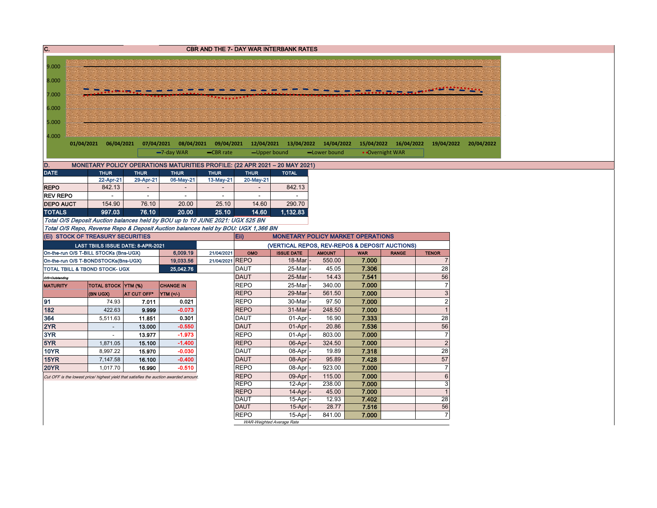| C.               |                                        |                      |                                    |                                                                                       |                 |                            | <b>CBR AND THE 7- DAY WAR INTERBANK RATES</b>                              |                                                |                |                       |                       |
|------------------|----------------------------------------|----------------------|------------------------------------|---------------------------------------------------------------------------------------|-----------------|----------------------------|----------------------------------------------------------------------------|------------------------------------------------|----------------|-----------------------|-----------------------|
|                  |                                        |                      |                                    |                                                                                       |                 |                            |                                                                            |                                                |                |                       |                       |
| 9.000            |                                        |                      |                                    |                                                                                       |                 |                            |                                                                            |                                                |                |                       |                       |
| 8.000            |                                        |                      |                                    |                                                                                       |                 |                            |                                                                            |                                                |                |                       |                       |
| 7.000            |                                        |                      |                                    |                                                                                       |                 |                            |                                                                            |                                                |                |                       |                       |
|                  |                                        |                      |                                    |                                                                                       |                 |                            |                                                                            |                                                |                |                       |                       |
| 6.000            |                                        |                      |                                    |                                                                                       |                 |                            |                                                                            |                                                |                |                       |                       |
| 5.000            |                                        |                      |                                    |                                                                                       |                 |                            |                                                                            |                                                |                |                       |                       |
|                  |                                        |                      |                                    |                                                                                       |                 |                            |                                                                            |                                                |                |                       |                       |
| 4.000            | 01/04/2021 06/04/2021                  |                      |                                    | 07/04/2021 08/04/2021                                                                 |                 |                            |                                                                            | 09/04/2021 12/04/2021 13/04/2022 14/04/2022    |                | 15/04/2022 16/04/2022 | 19/04/2022 20/04/2022 |
|                  |                                        |                      |                                    | -7-day WAR                                                                            | -CBR rate       | -Upper bound               |                                                                            | -Lower bound                                   |                | • Overnight WAR       |                       |
| D.               |                                        |                      |                                    |                                                                                       |                 |                            | MONETARY POLICY OPERATIONS MATURITIES PROFILE: (22 APR 2021 - 20 MAY 2021) |                                                |                |                       |                       |
| <b>DATE</b>      |                                        | <b>THUR</b>          | <b>THUR</b>                        | <b>THUR</b>                                                                           | <b>THUR</b>     | <b>THUR</b>                | <b>TOTAL</b>                                                               |                                                |                |                       |                       |
|                  |                                        | 22-Apr-21            | 29-Apr-21                          | 06-May-21                                                                             | 13-May-21       | 20-May-21                  |                                                                            |                                                |                |                       |                       |
| <b>REPO</b>      |                                        | 842.13               |                                    | $\overline{\phantom{a}}$                                                              |                 |                            | 842.13                                                                     |                                                |                |                       |                       |
| <b>REV REPO</b>  |                                        |                      | $\overline{\phantom{a}}$           | $\sim$                                                                                | $\sim$          | ÷                          |                                                                            |                                                |                |                       |                       |
| <b>DEPO AUCT</b> |                                        | 154.90               | 76.10                              | 20.00                                                                                 | 25.10           | 14.60                      | 290.70                                                                     |                                                |                |                       |                       |
| <b>TOTALS</b>    |                                        | 997.03               | 76.10                              | 20.00                                                                                 | 25.10           | 14.60                      | 1,132.83                                                                   |                                                |                |                       |                       |
|                  |                                        |                      |                                    | Total O/S Deposit Auction balances held by BOU up to 10 JUNE 2021: UGX 525 BN         |                 |                            |                                                                            |                                                |                |                       |                       |
|                  | (Ei) STOCK OF TREASURY SECURITIES      |                      |                                    | Total O/S Repo, Reverse Repo & Deposit Auction balances held by BOU: UGX 1,366 BN     |                 | Eii)                       |                                                                            | <b>MONETARY POLICY MARKET OPERATIONS</b>       |                |                       |                       |
|                  |                                        |                      | LAST TBIILS ISSUE DATE: 8-APR-2021 |                                                                                       |                 |                            |                                                                            | (VERTICAL REPOS, REV-REPOS & DEPOSIT AUCTIONS) |                |                       |                       |
|                  | On-the-run O/S T-BILL STOCKs (Bns-UGX) |                      |                                    | 6,009.19                                                                              | 21/04/2021      | OMO                        | <b>ISSUE DATE</b>                                                          | <b>AMOUNT</b>                                  | <b>WAR</b>     | <b>RANGE</b>          | <b>TENOR</b>          |
|                  | On-the-run O/S T-BONDSTOCKs(Bns-UGX)   |                      |                                    | 19,033.56                                                                             | 21/04/2021 REPO |                            | 18-Mar                                                                     | 550.00                                         | 7.000          |                       | $\overline{7}$        |
|                  | TOTAL TBILL & TBOND STOCK- UGX         |                      |                                    | 25.042.76                                                                             |                 | <b>DAUT</b>                | 25-Mar                                                                     | 45.05                                          | 7.306          |                       | 28                    |
| O/S=Outstanding  |                                        |                      |                                    |                                                                                       |                 | <b>DAUT</b>                | 25-Mar                                                                     | 14.43                                          | 7.541          |                       | 56                    |
| <b>MATURITY</b>  |                                        | TOTAL STOCK YTM (%)  |                                    | <b>CHANGE IN</b>                                                                      |                 | <b>REPO</b>                | 25-Mar                                                                     | 340.00                                         | 7.000          |                       | $\overline{7}$        |
|                  | (BN UGX)                               |                      | AT CUT OFF*                        | YTM (+/-)                                                                             |                 | <b>REPO</b>                | 29-Mar                                                                     | 561.50                                         | 7.000          |                       | $\mathbf{3}$          |
| 91               |                                        | 74.93                | 7.011                              | 0.021                                                                                 |                 | <b>REPO</b>                | 30-Mar                                                                     | 97.50                                          | 7.000          |                       | $\overline{2}$        |
| 182              |                                        | 422.63               | 9.999                              | $-0.073$                                                                              |                 | <b>REPO</b>                | 31-Mar                                                                     | 248.50                                         | 7.000          |                       | $\overline{1}$        |
| 364<br>2YR       |                                        | 5,511.63<br>$\omega$ | 11.851<br>13.000                   | 0.301<br>$-0.550$                                                                     |                 | <b>DAUT</b><br><b>DAUT</b> | 01-Apr<br>01-Apr                                                           | 16.90<br>20.86                                 | 7.333<br>7.536 |                       | 28<br>56              |
| 3YR              |                                        | $\sim$               | 13.977                             | $-1.973$                                                                              |                 | <b>REPO</b>                | 01-Apr                                                                     | 803.00                                         | 7.000          |                       | $\overline{7}$        |
| 5YR              |                                        | 1,871.05             | 15.100                             | $-1.400$                                                                              |                 | <b>REPO</b>                | 06-Apr                                                                     | 324.50                                         | 7.000          |                       | $\overline{2}$        |
| <b>10YR</b>      |                                        | 8,997.22             | 15.970                             | $-0.030$                                                                              |                 | <b>DAUT</b>                | 08-Apr                                                                     | 19.89                                          | 7.318          |                       | 28                    |
| <b>15YR</b>      |                                        | 7,147.58             | 16.100                             | $-0.400$                                                                              |                 | <b>DAUT</b>                | 08-Apr                                                                     | 95.89                                          | 7.428          |                       | 57                    |
| <b>20YR</b>      |                                        | 1.017.70             | 16.990                             | $-0.510$                                                                              |                 | <b>REPO</b>                | 08-Apr                                                                     | 923.00                                         | 7.000          |                       | $\overline{7}$        |
|                  |                                        |                      |                                    | Cut OFF is the lowest price/ highest yield that satisfies the auction awarded amount. |                 | <b>REPO</b>                | 09-Apr                                                                     | 115.00                                         | 7.000          |                       | $6\phantom{1}6$       |
|                  |                                        |                      |                                    |                                                                                       |                 | <b>REPO</b>                | 12-Apr                                                                     | 238.00                                         | 7.000          |                       | 3                     |
|                  |                                        |                      |                                    |                                                                                       |                 | <b>REPO</b>                | 14-Apr                                                                     | 45.00                                          | 7.000          |                       | $\overline{1}$        |
|                  |                                        |                      |                                    |                                                                                       |                 | <b>DAUT</b>                | 15-Apr                                                                     | 12.93                                          | 7.402          |                       | $\overline{28}$       |
|                  |                                        |                      |                                    |                                                                                       |                 | <b>DAUT</b><br><b>REPO</b> | 15-Apr<br>15-Apr                                                           | 28.77<br>841.00                                | 7.516<br>7.000 |                       | 56<br>$\overline{7}$  |
|                  |                                        |                      |                                    |                                                                                       |                 | WAR-Weighted Average Rate  |                                                                            |                                                |                |                       |                       |
|                  |                                        |                      |                                    |                                                                                       |                 |                            |                                                                            |                                                |                |                       |                       |